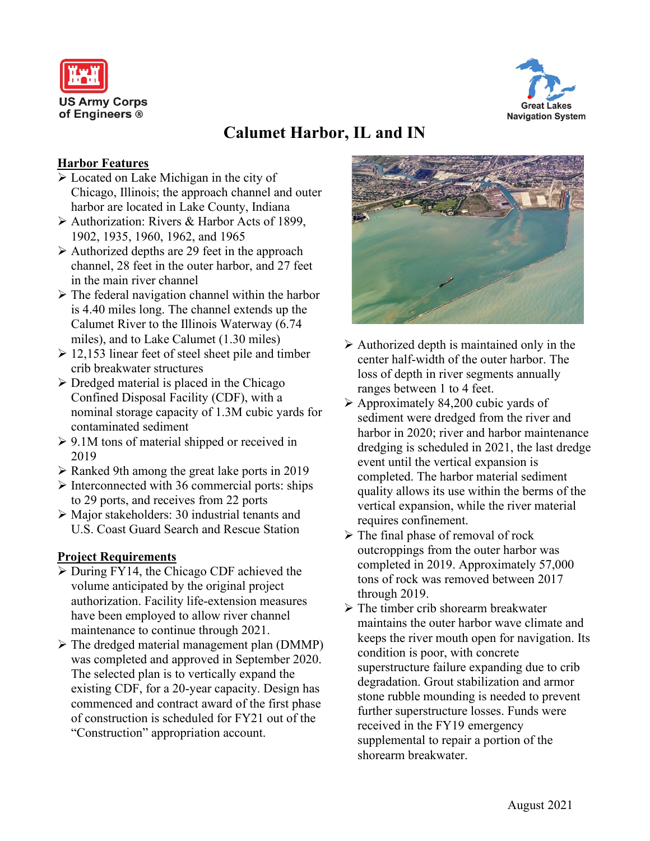



# **Calumet Harbor, IL and IN**

### **Harbor Features**

- Located on Lake Michigan in the city of Chicago, Illinois; the approach channel and outer harbor are located in Lake County, Indiana
- Authorization: Rivers & Harbor Acts of 1899, 1902, 1935, 1960, 1962, and 1965
- $\triangleright$  Authorized depths are 29 feet in the approach channel, 28 feet in the outer harbor, and 27 feet in the main river channel
- $\triangleright$  The federal navigation channel within the harbor is 4.40 miles long. The channel extends up the Calumet River to the Illinois Waterway (6.74 miles), and to Lake Calumet (1.30 miles)
- $\geq 12,153$  linear feet of steel sheet pile and timber crib breakwater structures
- $\triangleright$  Dredged material is placed in the Chicago Confined Disposal Facility (CDF), with a nominal storage capacity of 1.3M cubic yards for contaminated sediment
- $\geq 9.1M$  tons of material shipped or received in 2019
- $\triangleright$  Ranked 9th among the great lake ports in 2019
- $\triangleright$  Interconnected with 36 commercial ports: ships to 29 ports, and receives from 22 ports
- $\triangleright$  Major stakeholders: 30 industrial tenants and U.S. Coast Guard Search and Rescue Station

### **Project Requirements**

- During FY14, the Chicago CDF achieved the volume anticipated by the original project authorization. Facility life-extension measures have been employed to allow river channel maintenance to continue through 2021.
- $\triangleright$  The dredged material management plan (DMMP) was completed and approved in September 2020. The selected plan is to vertically expand the existing CDF, for a 20-year capacity. Design has commenced and contract award of the first phase of construction is scheduled for FY21 out of the "Construction" appropriation account.



- $\triangleright$  Authorized depth is maintained only in the center half-width of the outer harbor. The loss of depth in river segments annually ranges between 1 to 4 feet.
- $\triangleright$  Approximately 84,200 cubic yards of sediment were dredged from the river and harbor in 2020; river and harbor maintenance dredging is scheduled in 2021, the last dredge event until the vertical expansion is completed. The harbor material sediment quality allows its use within the berms of the vertical expansion, while the river material requires confinement.
- $\triangleright$  The final phase of removal of rock outcroppings from the outer harbor was completed in 2019. Approximately 57,000 tons of rock was removed between 2017 through 2019.
- $\triangleright$  The timber crib shorearm breakwater maintains the outer harbor wave climate and keeps the river mouth open for navigation. Its condition is poor, with concrete superstructure failure expanding due to crib degradation. Grout stabilization and armor stone rubble mounding is needed to prevent further superstructure losses. Funds were received in the FY19 emergency supplemental to repair a portion of the shorearm breakwater.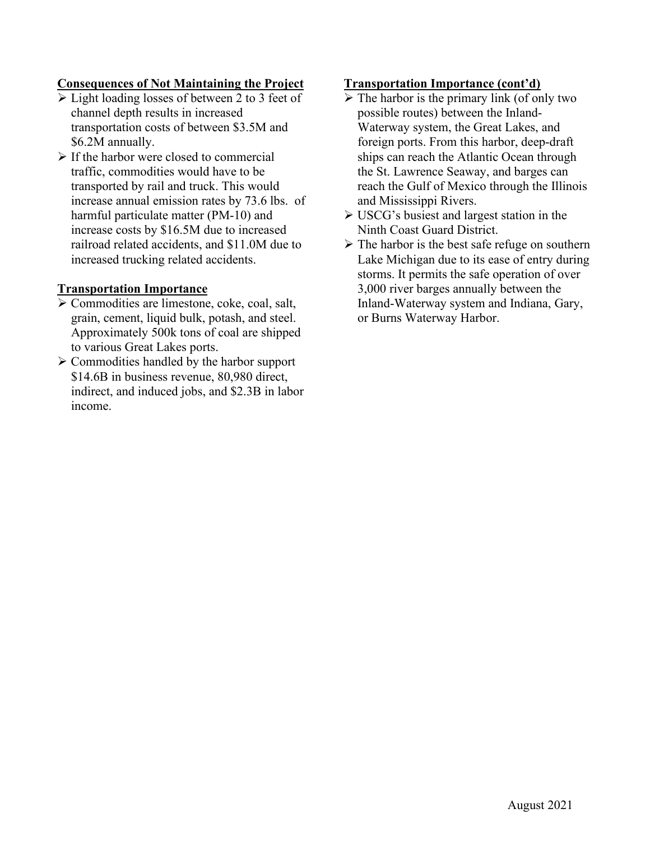## **Consequences of Not Maintaining the Project**

- Light loading losses of between 2 to 3 feet of channel depth results in increased transportation costs of between \$3.5M and \$6.2M annually.
- $\triangleright$  If the harbor were closed to commercial traffic, commodities would have to be transported by rail and truck. This would increase annual emission rates by 73.6 lbs. of harmful particulate matter (PM-10) and increase costs by \$16.5M due to increased railroad related accidents, and \$11.0M due to increased trucking related accidents.

### **Transportation Importance**

- Commodities are limestone, coke, coal, salt, grain, cement, liquid bulk, potash, and steel. Approximately 500k tons of coal are shipped to various Great Lakes ports.
- $\triangleright$  Commodities handled by the harbor support \$14.6B in business revenue, 80,980 direct, indirect, and induced jobs, and \$2.3B in labor income.

#### **Transportation Importance (cont'd)**

- $\triangleright$  The harbor is the primary link (of only two possible routes) between the Inland-Waterway system, the Great Lakes, and foreign ports. From this harbor, deep-draft ships can reach the Atlantic Ocean through the St. Lawrence Seaway, and barges can reach the Gulf of Mexico through the Illinois and Mississippi Rivers.
- USCG's busiest and largest station in the Ninth Coast Guard District.
- $\triangleright$  The harbor is the best safe refuge on southern Lake Michigan due to its ease of entry during storms. It permits the safe operation of over 3,000 river barges annually between the Inland-Waterway system and Indiana, Gary, or Burns Waterway Harbor.